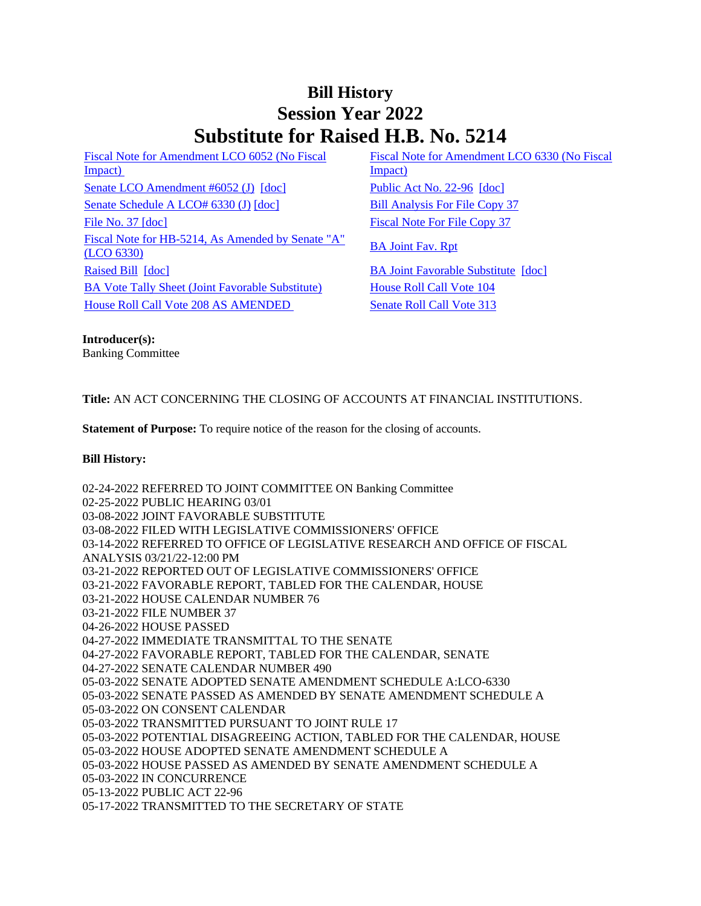# **Bill History Session Year 2022 Substitute for Raised H.B. No. 5214**

[Fiscal Note for Amendment LCO 6052 \(No Fiscal](/2022/fna/pdf/2022HB-05214-R00LCO06052-FNA.PDF)  Impact) [Senate LCO Amendment #6052 \(J\)](/2022/lcoamd/pdf/2022LCO06052-R00-AMD.pdf) [\[doc\]](https://search.cga.state.ct.us/dl2022/PA/DOC/2022PA-00096-R00HB-05214-PA.DOCX) [Public Act No. 22-96](/2022/ACT/PA/PDF/2022PA-00096-R00HB-05214-PA.PDF) [doc] [Senate Schedule A LCO# 6330 \(J\)](/2022/amd/H/pdf/2022HB-05214-R00SA-AMD.pdf) [\[doc\]](https://search.cga.state.ct.us/dl2022/AMd/DOC/2022HB-05214-R00SA-AMD.Docx) [Bill Analysis For File Copy 37](/2022/BA/PDF/2022HB-05214-R000037-BA.PDF) [File No. 37](/2022/FC/PDF/2022HB-05214-R000037-FC.PDF) [\[doc\]](https://search.cga.state.ct.us/dl2022/fc/doc/2022HB-05214-R000037-FC.docx) [Fiscal Note For File Copy 37](/2022/FN/PDF/2022HB-05214-R000037-FN.PDF) [Fiscal Note for HB-5214, As Amended by Senate "A"](/2022/FN/PDF/2022HB-05214-R01-FN.PDF) BA Joint Fav. Rpt [\(LCO 6330\)](/2022/FN/PDF/2022HB-05214-R01-FN.PDF) [Raised Bill](/2022/TOB/H/PDF/2022HB-05214-R00-HB.PDF) [\[doc\]](https://search.cga.state.ct.us/dl2022/TOB/DOC/2022HB-05214-R01-HB.DOCX) [BA Joint Favorable Substitute](/2022/TOB/H/PDF/2022HB-05214-R01-HB.PDF) [doc] [BA Vote Tally Sheet \(Joint Favorable Substitute\)](/2022/TS/H/PDF/2022HB-05214-R00BA-CV10-TS.PDF) House Roll Call Vote 104 [House Roll Call Vote 208 AS AMENDED](/2022/VOTE/H/PDF/2022HV-00208-R00HB05214-HV.PDF) Senate Roll Call Vote 313

[Fiscal Note for Amendment LCO 6330 \(No Fiscal](/2022/fna/pdf/2022HB-05214-R00LCO06330-FNA.PDF)  [Impact\)](/2022/fna/pdf/2022HB-05214-R00LCO06330-FNA.PDF) 

**Introducer(s):** Banking Committee

## **Title:** AN ACT CONCERNING THE CLOSING OF ACCOUNTS AT FINANCIAL INSTITUTIONS.

**Statement of Purpose:** To require notice of the reason for the closing of accounts.

#### **Bill History:**

02-24-2022 REFERRED TO JOINT COMMITTEE ON Banking Committee 02-25-2022 PUBLIC HEARING 03/01 03-08-2022 JOINT FAVORABLE SUBSTITUTE 03-08-2022 FILED WITH LEGISLATIVE COMMISSIONERS' OFFICE 03-14-2022 REFERRED TO OFFICE OF LEGISLATIVE RESEARCH AND OFFICE OF FISCAL ANALYSIS 03/21/22-12:00 PM 03-21-2022 REPORTED OUT OF LEGISLATIVE COMMISSIONERS' OFFICE 03-21-2022 FAVORABLE REPORT, TABLED FOR THE CALENDAR, HOUSE 03-21-2022 HOUSE CALENDAR NUMBER 76 03-21-2022 FILE NUMBER 37 04-26-2022 HOUSE PASSED 04-27-2022 IMMEDIATE TRANSMITTAL TO THE SENATE 04-27-2022 FAVORABLE REPORT, TABLED FOR THE CALENDAR, SENATE 04-27-2022 SENATE CALENDAR NUMBER 490 05-03-2022 SENATE ADOPTED SENATE AMENDMENT SCHEDULE A:LCO-6330 05-03-2022 SENATE PASSED AS AMENDED BY SENATE AMENDMENT SCHEDULE A 05-03-2022 ON CONSENT CALENDAR 05-03-2022 TRANSMITTED PURSUANT TO JOINT RULE 17 05-03-2022 POTENTIAL DISAGREEING ACTION, TABLED FOR THE CALENDAR, HOUSE 05-03-2022 HOUSE ADOPTED SENATE AMENDMENT SCHEDULE A 05-03-2022 HOUSE PASSED AS AMENDED BY SENATE AMENDMENT SCHEDULE A 05-03-2022 IN CONCURRENCE 05-13-2022 PUBLIC ACT 22-96 05-17-2022 TRANSMITTED TO THE SECRETARY OF STATE